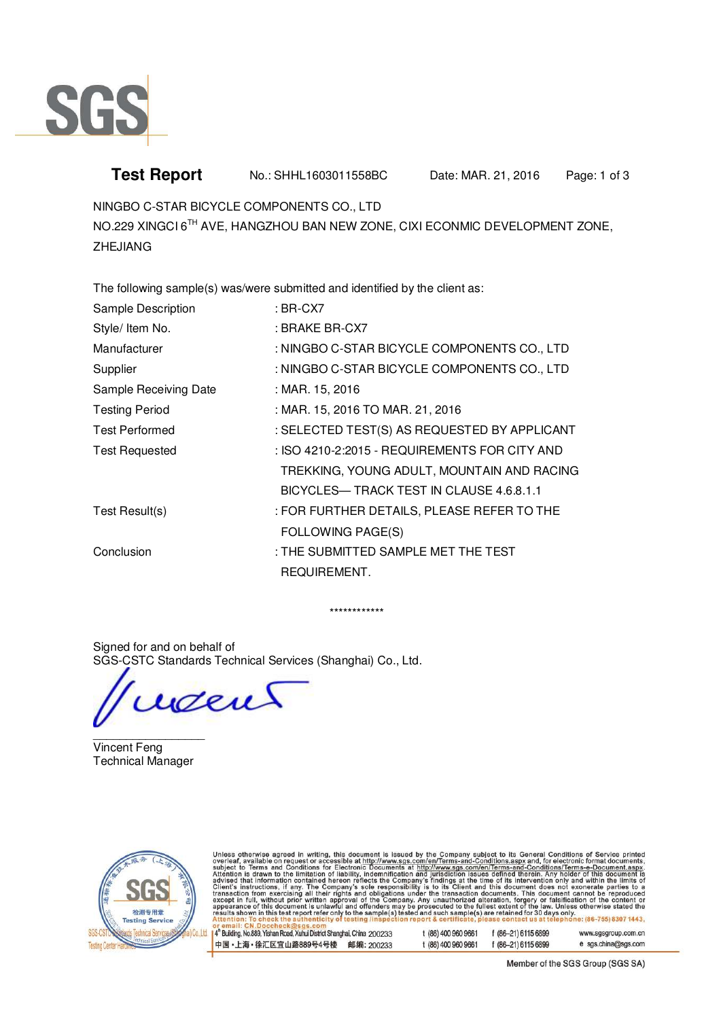

## **Test Report** No.: SHHL1603011558BC Date: MAR. 21, 2016 Page: 1 of 3

NINGBO C-STAR BICYCLE COMPONENTS CO., LTD

NO.229 XINGCI 6TH AVE, HANGZHOU BAN NEW ZONE, CIXI ECONMIC DEVELOPMENT ZONE, ZHEJIANG

The following sample(s) was/were submitted and identified by the client as:

| Sample Description    | : BR-CX7                                      |
|-----------------------|-----------------------------------------------|
| Style/ Item No.       | : BRAKE BR-CX7                                |
| Manufacturer          | : NINGBO C-STAR BICYCLE COMPONENTS CO., LTD   |
| Supplier              | : NINGBO C-STAR BICYCLE COMPONENTS CO., LTD   |
| Sample Receiving Date | : MAR. 15, 2016                               |
| <b>Testing Period</b> | : MAR. 15, 2016 TO MAR. 21, 2016              |
| <b>Test Performed</b> | : SELECTED TEST(S) AS REQUESTED BY APPLICANT  |
| Test Requested        | : ISO 4210-2:2015 - REQUIREMENTS FOR CITY AND |
|                       | TREKKING, YOUNG ADULT, MOUNTAIN AND RACING    |
|                       | BICYCLES— TRACK TEST IN CLAUSE 4.6.8.1.1      |
| Test Result(s)        | : FOR FURTHER DETAILS, PLEASE REFER TO THE    |
|                       | <b>FOLLOWING PAGE(S)</b>                      |
| Conclusion            | : THE SUBMITTED SAMPLE MET THE TEST           |
|                       | REQUIREMENT.                                  |

\*\*\*\*\*\*\*\*\*\*\*\*

Signed for and on behalf of SGS-CSTC Standards Technical Services (Shanghai) Co., Ltd.

went

 $\overline{\phantom{a}}$   $\overline{\phantom{a}}$   $\overline{\phantom{a}}$   $\overline{\phantom{a}}$   $\overline{\phantom{a}}$   $\overline{\phantom{a}}$   $\overline{\phantom{a}}$   $\overline{\phantom{a}}$   $\overline{\phantom{a}}$   $\overline{\phantom{a}}$   $\overline{\phantom{a}}$   $\overline{\phantom{a}}$   $\overline{\phantom{a}}$   $\overline{\phantom{a}}$   $\overline{\phantom{a}}$   $\overline{\phantom{a}}$   $\overline{\phantom{a}}$   $\overline{\phantom{a}}$   $\overline{\$ Vincent Feng Technical Manager



Unless otherwise agreed in writing, this document is issued by the Company subject to its General Conditions of Service printed<br>overleaf, available on request or accessible at <u>http://www.sgs.com/en/Terms-and-Conditions.as</u> or email: CN. Doccheck@sgs.com<br>|4" Building, No.889, Yishan Road, Xuhui District Shanghai, China 200233 t (86) 400 960 9661 **F (86-21) 6115 6800** 

| 区宜山路889号4号楼  邮编: 200233                           |  | t (86) 400 960 9661 | f (86-21) 6115 6899   | e sgs.china@sgs.com |
|---------------------------------------------------|--|---------------------|-----------------------|---------------------|
| ndii rudu, Aunui Disirici ondhyndi, Oning. ZUUZOO |  | (00,400,200,200)    | $1,00 - 51,0110,0099$ | www.ayayroup.com.ur |

Member of the SGS Group (SGS SA)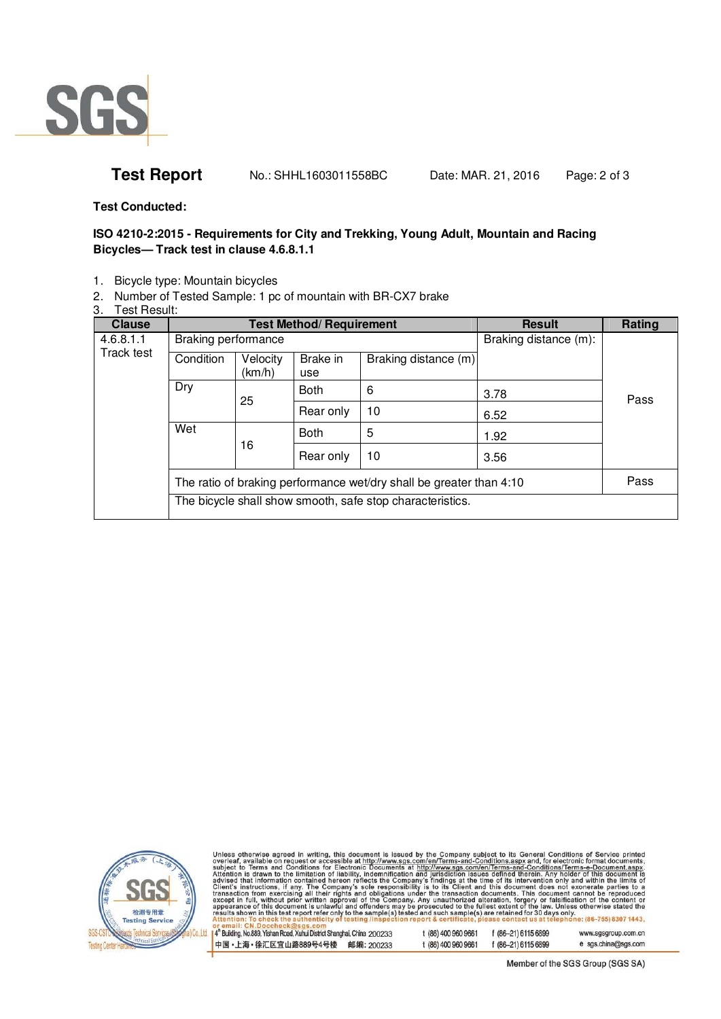

**Test Report** No.: SHHL1603011558BC Date: MAR. 21, 2016 Page: 2 of 3

**Test Conducted:** 

## **ISO 4210-2:2015 - Requirements for City and Trekking, Young Adult, Mountain and Racing Bicycles— Track test in clause 4.6.8.1.1**

- 1. Bicycle type: Mountain bicycles
- 2. Number of Tested Sample: 1 pc of mountain with BR-CX7 brake
- 3. Test Result:

| <b>Clause</b> |                                                                     |                    | <b>Test Method/ Requirement</b> |                                                           | <b>Result</b> | Rating |
|---------------|---------------------------------------------------------------------|--------------------|---------------------------------|-----------------------------------------------------------|---------------|--------|
| 4.6.8.1.1     | Braking performance                                                 |                    |                                 | Braking distance (m):                                     |               |        |
| Track test    | Condition                                                           | Velocity<br>(km/h) | Brake in<br>use                 | Braking distance (m)                                      |               |        |
|               | Dry                                                                 | 25                 | <b>Both</b>                     | 6                                                         | 3.78          | Pass   |
|               |                                                                     | Rear only          | 10                              | 6.52                                                      |               |        |
| Wet           | 16                                                                  | <b>Both</b>        | 5                               | 1.92                                                      |               |        |
|               |                                                                     | Rear only          | 10                              | 3.56                                                      |               |        |
|               | The ratio of braking performance wet/dry shall be greater than 4:10 |                    |                                 |                                                           | Pass          |        |
|               |                                                                     |                    |                                 | The bicycle shall show smooth, safe stop characteristics. |               |        |



Unless otherwise agreed in writing, this document is issued by the Company subject to its General Conditions of Service printed<br>overleaf, available on request or accessible at http://www.sgs.com/en/Terms-and-Conditions.asp nail: CN.Doccheck@sgs.com or ema

| 中国・上海・徐汇区宜山路889号4号楼 邮编: 200233                                          | t (86) 400 960 9661 | f (86-21) 6115 6899 | e sgs.china@sgs.com |
|-------------------------------------------------------------------------|---------------------|---------------------|---------------------|
| 4" Building, No.889, Yishan Road, Xuhui District Shanghai, China 200233 | t (86) 400 960 9661 | f (86-21) 6115 6899 | www.sgsgroup.com.cn |

Member of the SGS Group (SGS SA)